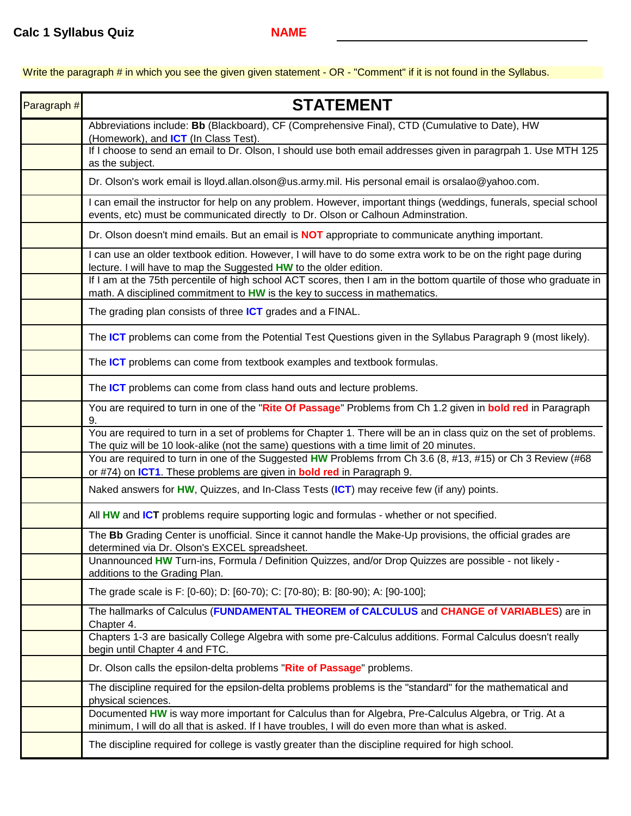Write the paragraph # in which you see the given given statement - OR - "Comment" if it is not found in the Syllabus.

| Paragraph # | <b>STATEMENT</b>                                                                                                                                                                                                |
|-------------|-----------------------------------------------------------------------------------------------------------------------------------------------------------------------------------------------------------------|
|             | Abbreviations include: Bb (Blackboard), CF (Comprehensive Final), CTD (Cumulative to Date), HW<br>(Homework), and <b>ICT</b> (In Class Test).                                                                   |
|             | If I choose to send an email to Dr. Olson, I should use both email addresses given in paragrpah 1. Use MTH 125<br>as the subject.                                                                               |
|             | Dr. Olson's work email is lloyd.allan.olson@us.army.mil. His personal email is orsalao@yahoo.com.                                                                                                               |
|             | I can email the instructor for help on any problem. However, important things (weddings, funerals, special school<br>events, etc) must be communicated directly to Dr. Olson or Calhoun Adminstration.          |
|             | Dr. Olson doesn't mind emails. But an email is <b>NOT</b> appropriate to communicate anything important.                                                                                                        |
|             | I can use an older textbook edition. However, I will have to do some extra work to be on the right page during<br>lecture. I will have to map the Suggested HW to the older edition.                            |
|             | If I am at the 75th percentile of high school ACT scores, then I am in the bottom quartile of those who graduate in<br>math. A disciplined commitment to HW is the key to success in mathematics.               |
|             | The grading plan consists of three ICT grades and a FINAL.                                                                                                                                                      |
|             | The ICT problems can come from the Potential Test Questions given in the Syllabus Paragraph 9 (most likely).                                                                                                    |
|             | The ICT problems can come from textbook examples and textbook formulas.                                                                                                                                         |
|             | The ICT problems can come from class hand outs and lecture problems.                                                                                                                                            |
|             | You are required to turn in one of the "Rite Of Passage" Problems from Ch 1.2 given in bold red in Paragraph<br>9.                                                                                              |
|             | You are required to turn in a set of problems for Chapter 1. There will be an in class quiz on the set of problems.<br>The quiz will be 10 look-alike (not the same) questions with a time limit of 20 minutes. |
|             | You are required to turn in one of the Suggested HW Problems frrom Ch 3.6 (8, #13, #15) or Ch 3 Review (#68<br>or #74) on ICT1. These problems are given in bold red in Paragraph 9.                            |
|             | Naked answers for HW, Quizzes, and In-Class Tests (ICT) may receive few (if any) points.                                                                                                                        |
|             | All HW and ICT problems require supporting logic and formulas - whether or not specified.                                                                                                                       |
|             | The Bb Grading Center is unofficial. Since it cannot handle the Make-Up provisions, the official grades are<br>determined via Dr. Olson's EXCEL spreadsheet.                                                    |
|             | Unannounced HW Turn-ins, Formula / Definition Quizzes, and/or Drop Quizzes are possible - not likely -<br>additions to the Grading Plan.                                                                        |
|             | The grade scale is F: [0-60); D: [60-70); C: [70-80); B: [80-90); A: [90-100];                                                                                                                                  |
|             | The hallmarks of Calculus (FUNDAMENTAL THEOREM of CALCULUS and CHANGE of VARIABLES) are in<br>Chapter 4.                                                                                                        |
|             | Chapters 1-3 are basically College Algebra with some pre-Calculus additions. Formal Calculus doesn't really<br>begin until Chapter 4 and FTC.                                                                   |
|             | Dr. Olson calls the epsilon-delta problems "Rite of Passage" problems.                                                                                                                                          |
|             | The discipline required for the epsilon-delta problems problems is the "standard" for the mathematical and<br>physical sciences.                                                                                |
|             | Documented HW is way more important for Calculus than for Algebra, Pre-Calculus Algebra, or Trig. At a<br>minimum, I will do all that is asked. If I have troubles, I will do even more than what is asked.     |
|             | The discipline required for college is vastly greater than the discipline required for high school.                                                                                                             |